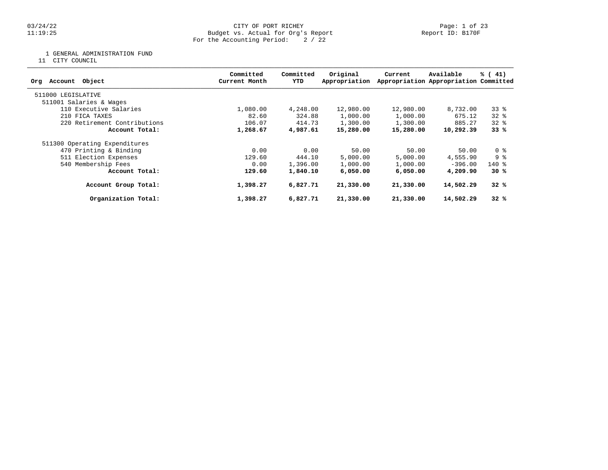# 03/24/22 CITY OF PORT RICHEY Page: 1 of 23 11:19:25 Budget vs. Actual for Org's Report Report ID: B170F For the Accounting Period: 2 / 22

1 GENERAL ADMINISTRATION FUND

11 CITY COUNCIL

| Object<br>Account<br>Org      | Committed<br>Current Month | Committed<br>YTD | Original<br>Appropriation | Current   | Available<br>Appropriation Appropriation Committed | % (41) |
|-------------------------------|----------------------------|------------------|---------------------------|-----------|----------------------------------------------------|--------|
| 511000 LEGISLATIVE            |                            |                  |                           |           |                                                    |        |
| 511001 Salaries & Wages       |                            |                  |                           |           |                                                    |        |
| 110 Executive Salaries        | 1,080.00                   | 4,248.00         | 12,980.00                 | 12,980.00 | 8,732.00                                           | $33*$  |
| 210 FICA TAXES                | 82.60                      | 324.88           | 1,000.00                  | 1,000.00  | 675.12                                             | 328    |
| 220 Retirement Contributions  | 106.07                     | 414.73           | 1,300.00                  | 1,300.00  | 885.27                                             | $32*$  |
| Account Total:                | 1,268.67                   | 4,987.61         | 15,280.00                 | 15,280.00 | 10,292.39                                          | 33%    |
| 511300 Operating Expenditures |                            |                  |                           |           |                                                    |        |
| 470 Printing & Binding        | 0.00                       | 0.00             | 50.00                     | 50.00     | 50.00                                              | 0 %    |
| 511 Election Expenses         | 129.60                     | 444.10           | 5,000.00                  | 5,000.00  | 4,555.90                                           | 9 %    |
| 540 Membership Fees           | 0.00                       | 1,396.00         | 1,000.00                  | 1,000.00  | $-396.00$                                          | $140*$ |
| Account Total:                | 129.60                     | 1,840.10         | 6,050,00                  | 6,050,00  | 4,209.90                                           | 30%    |
| Account Group Total:          | 1,398.27                   | 6,827.71         | 21,330.00                 | 21,330.00 | 14,502.29                                          | 32%    |
| Organization Total:           | 1,398.27                   | 6,827.71         | 21,330.00                 | 21,330.00 | 14,502.29                                          | 32%    |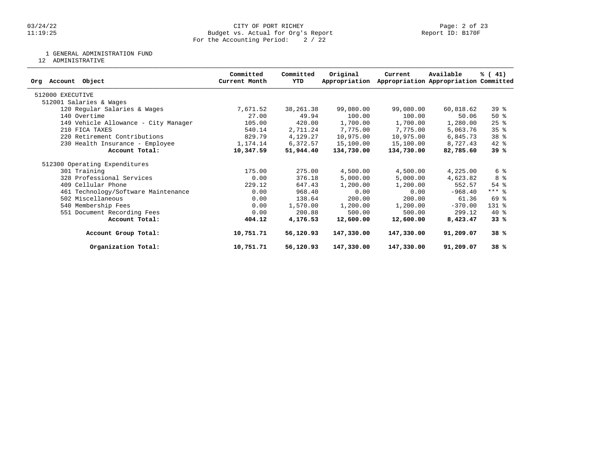# 03/24/22 CITY OF PORT RICHEY Page: 2 of 23 11:19:25 Budget vs. Actual for Org's Report Report ID: B170F For the Accounting Period: 2 / 22

1 GENERAL ADMINISTRATION FUND

12 ADMINISTRATIVE

| Object<br>Account<br>Ora             | Committed<br>Current Month | Committed<br>YTD | Original<br>Appropriation | Current    | Available<br>Appropriation Appropriation Committed | % (41)             |
|--------------------------------------|----------------------------|------------------|---------------------------|------------|----------------------------------------------------|--------------------|
| 512000 EXECUTIVE                     |                            |                  |                           |            |                                                    |                    |
| 512001 Salaries & Wages              |                            |                  |                           |            |                                                    |                    |
| 120 Regular Salaries & Wages         | 7,671.52                   | 38,261.38        | 99,080.00                 | 99,080.00  | 60,818.62                                          | 39 %               |
| 140 Overtime                         | 27.00                      | 49.94            | 100.00                    | 100.00     | 50.06                                              | 50%                |
| 149 Vehicle Allowance - City Manager | 105.00                     | 420.00           | 1,700.00                  | 1,700.00   | 1,280.00                                           | $25$ $\frac{6}{5}$ |
| 210 FICA TAXES                       | 540.14                     | 2,711.24         | 7,775.00                  | 7,775.00   | 5,063.76                                           | 35 <sup>8</sup>    |
| 220 Retirement Contributions         | 829.79                     | 4,129.27         | 10,975.00                 | 10,975.00  | 6,845.73                                           | 38 %               |
| 230 Health Insurance - Employee      | 1,174.14                   | 6,372.57         | 15,100.00                 | 15,100.00  | 8,727.43                                           | $42$ %             |
| Account Total:                       | 10,347.59                  | 51,944.40        | 134,730.00                | 134,730.00 | 82,785.60                                          | 39 %               |
| 512300 Operating Expenditures        |                            |                  |                           |            |                                                    |                    |
| 301 Training                         | 175.00                     | 275.00           | 4,500.00                  | 4,500.00   | 4,225.00                                           | 6 %                |
| 328 Professional Services            | 0.00                       | 376.18           | 5,000.00                  | 5,000.00   | 4,623.82                                           | 8 %                |
| 409 Cellular Phone                   | 229.12                     | 647.43           | 1,200.00                  | 1,200.00   | 552.57                                             | $54$ $%$           |
| 461 Technology/Software Maintenance  | 0.00                       | 968.40           | 0.00                      | 0.00       | $-968.40$                                          | $***$ $%$          |
| 502 Miscellaneous                    | 0.00                       | 138.64           | 200.00                    | 200.00     | 61.36                                              | 69 %               |
| 540 Membership Fees                  | 0.00                       | 1,570.00         | 1,200.00                  | 1,200.00   | $-370.00$                                          | 131 %              |
| 551 Document Recording Fees          | 0.00                       | 200.88           | 500.00                    | 500.00     | 299.12                                             | $40*$              |
| Account Total:                       | 404.12                     | 4,176.53         | 12,600.00                 | 12,600.00  | 8,423.47                                           | 33%                |
| Account Group Total:                 | 10,751.71                  | 56,120.93        | 147,330.00                | 147,330.00 | 91,209.07                                          | 38%                |
| Organization Total:                  | 10,751.71                  | 56,120.93        | 147,330.00                | 147,330.00 | 91,209.07                                          | 38%                |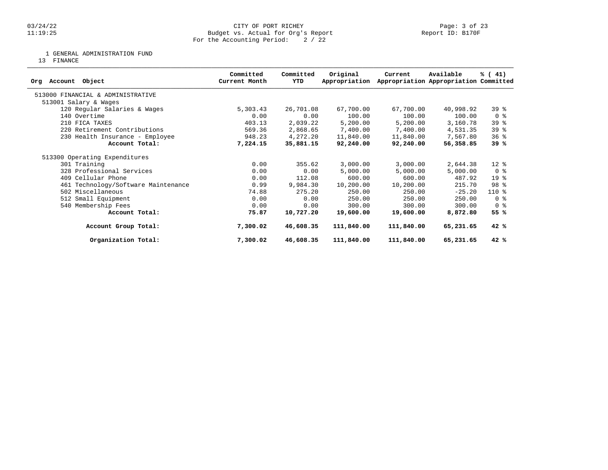1 GENERAL ADMINISTRATION FUND

13 FINANCE

| Object<br>Account<br>Ora            | Committed<br>Current Month | Committed<br>YTD | Original<br>Appropriation | Current    | Available<br>Appropriation Appropriation Committed | % (41)          |
|-------------------------------------|----------------------------|------------------|---------------------------|------------|----------------------------------------------------|-----------------|
| 513000 FINANCIAL & ADMINISTRATIVE   |                            |                  |                           |            |                                                    |                 |
| 513001 Salary & Wages               |                            |                  |                           |            |                                                    |                 |
| 120 Regular Salaries & Wages        | 5,303.43                   | 26,701.08        | 67,700.00                 | 67,700.00  | 40,998.92                                          | 39 <sup>8</sup> |
| 140 Overtime                        | 0.00                       | 0.00             | 100.00                    | 100.00     | 100.00                                             | 0 <sub>8</sub>  |
| 210 FICA TAXES                      | 403.13                     | 2,039.22         | 5,200.00                  | 5,200.00   | 3,160.78                                           | 39 %            |
| 220 Retirement Contributions        | 569.36                     | 2,868.65         | 7,400.00                  | 7,400.00   | 4,531.35                                           | 39%             |
| 230 Health Insurance - Employee     | 948.23                     | 4,272.20         | 11,840.00                 | 11,840.00  | 7,567.80                                           | 36%             |
| Account Total:                      | 7,224.15                   | 35,881.15        | 92,240.00                 | 92,240.00  | 56,358.85                                          | 39%             |
| 513300 Operating Expenditures       |                            |                  |                           |            |                                                    |                 |
| 301 Training                        | 0.00                       | 355.62           | 3,000.00                  | 3,000.00   | 2,644.38                                           | $12*$           |
| 328 Professional Services           | 0.00                       | 0.00             | 5,000.00                  | 5,000.00   | 5,000.00                                           | 0 <sub>8</sub>  |
| 409 Cellular Phone                  | 0.00                       | 112.08           | 600.00                    | 600.00     | 487.92                                             | 19 <sup>°</sup> |
| 461 Technology/Software Maintenance | 0.99                       | 9,984.30         | 10,200.00                 | 10,200.00  | 215.70                                             | 98 %            |
| 502 Miscellaneous                   | 74.88                      | 275.20           | 250.00                    | 250.00     | $-25.20$                                           | $110*$          |
| 512 Small Equipment                 | 0.00                       | 0.00             | 250.00                    | 250.00     | 250.00                                             | 0 <sup>8</sup>  |
| 540 Membership Fees                 | 0.00                       | 0.00             | 300.00                    | 300.00     | 300.00                                             | 0 %             |
| Account Total:                      | 75.87                      | 10,727.20        | 19,600.00                 | 19,600.00  | 8,872.80                                           | 55 %            |
| Account Group Total:                | 7,300.02                   | 46,608.35        | 111,840.00                | 111,840.00 | 65,231.65                                          | 42%             |
| Organization Total:                 | 7,300.02                   | 46,608.35        | 111,840.00                | 111,840.00 | 65,231.65                                          | 42%             |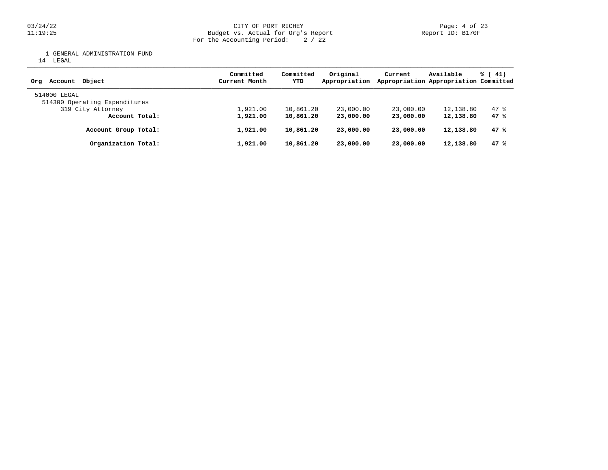03/24/22 CITY OF PORT RICHEY Page: 4 of 23 11:19:25 Budget vs. Actual for Org's Report Report ID: B170F For the Accounting Period: 2 / 22

1 GENERAL ADMINISTRATION FUND

14 LEGAL

| Obiect<br>Account<br>Orq      | Committed<br>Current Month | Committed<br>YTD | Original<br>Appropriation | Current   | Available<br>Appropriation Appropriation Committed | $\frac{1}{6}$ ( 41) |  |
|-------------------------------|----------------------------|------------------|---------------------------|-----------|----------------------------------------------------|---------------------|--|
| 514000 LEGAL                  |                            |                  |                           |           |                                                    |                     |  |
| 514300 Operating Expenditures |                            |                  |                           |           |                                                    |                     |  |
| 319 City Attorney             | 1,921.00                   | 10,861.20        | 23,000.00                 | 23,000.00 | 12,138.80                                          | 47 %                |  |
| Account Total:                | 1,921.00                   | 10,861.20        | 23,000.00                 | 23,000,00 | 12,138.80                                          | 47 %                |  |
| Account Group Total:          | 1,921.00                   | 10,861.20        | 23,000.00                 | 23,000.00 | 12,138.80                                          | 47%                 |  |
| Organization Total:           | 1,921.00                   | 10,861.20        | 23,000.00                 | 23,000,00 | 12,138.80                                          | 47%                 |  |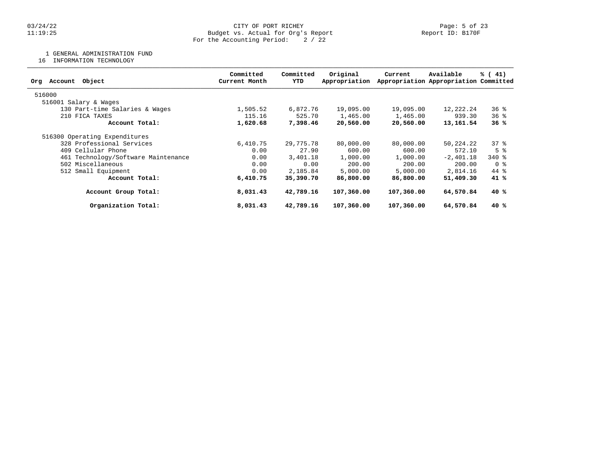1 GENERAL ADMINISTRATION FUND

16 INFORMATION TECHNOLOGY

| Committed<br>Current Month | Committed<br>YTD | Original<br>Appropriation | Current                                                                                                                     | Available | % (41)                                                                                                                                                                                                                                                                                                               |
|----------------------------|------------------|---------------------------|-----------------------------------------------------------------------------------------------------------------------------|-----------|----------------------------------------------------------------------------------------------------------------------------------------------------------------------------------------------------------------------------------------------------------------------------------------------------------------------|
|                            |                  |                           |                                                                                                                             |           |                                                                                                                                                                                                                                                                                                                      |
|                            |                  |                           |                                                                                                                             |           |                                                                                                                                                                                                                                                                                                                      |
| 1,505.52                   |                  | 19,095.00                 |                                                                                                                             |           | 368                                                                                                                                                                                                                                                                                                                  |
| 115.16                     |                  | 1,465.00                  |                                                                                                                             |           | 368                                                                                                                                                                                                                                                                                                                  |
| 1,620.68                   |                  | 20,560.00                 |                                                                                                                             |           | 36%                                                                                                                                                                                                                                                                                                                  |
|                            |                  |                           |                                                                                                                             |           |                                                                                                                                                                                                                                                                                                                      |
| 6,410.75                   |                  | 80,000.00                 |                                                                                                                             |           | 378                                                                                                                                                                                                                                                                                                                  |
| 0.00                       |                  | 600.00                    |                                                                                                                             |           | 5 <sup>8</sup>                                                                                                                                                                                                                                                                                                       |
| 0.00                       |                  | 1,000.00                  |                                                                                                                             |           | $340*$                                                                                                                                                                                                                                                                                                               |
| 0.00                       |                  | 200.00                    |                                                                                                                             |           | 0 %                                                                                                                                                                                                                                                                                                                  |
| 0.00                       |                  | 5,000.00                  |                                                                                                                             |           | 44 %                                                                                                                                                                                                                                                                                                                 |
| 6,410.75                   |                  | 86,800.00                 |                                                                                                                             |           | 41 %                                                                                                                                                                                                                                                                                                                 |
| 8,031.43                   |                  | 107,360.00                |                                                                                                                             |           | 40 %                                                                                                                                                                                                                                                                                                                 |
| 8,031.43                   |                  | 107,360.00                |                                                                                                                             |           | 40 %                                                                                                                                                                                                                                                                                                                 |
|                            |                  |                           | 6,872.76<br>525.70<br>7,398.46<br>29,775.78<br>27.90<br>3,401.18<br>0.00<br>2,185.84<br>35,390.70<br>42,789.16<br>42,789.16 |           | Appropriation Appropriation Committed<br>19,095.00<br>12,222.24<br>939.30<br>1,465.00<br>20,560.00<br>13,161.54<br>80,000,00<br>50,224.22<br>600.00<br>572.10<br>1,000.00<br>$-2,401.18$<br>200.00<br>200.00<br>5,000.00<br>2,814.16<br>51,409.30<br>86,800.00<br>107,360.00<br>64,570.84<br>107,360.00<br>64,570.84 |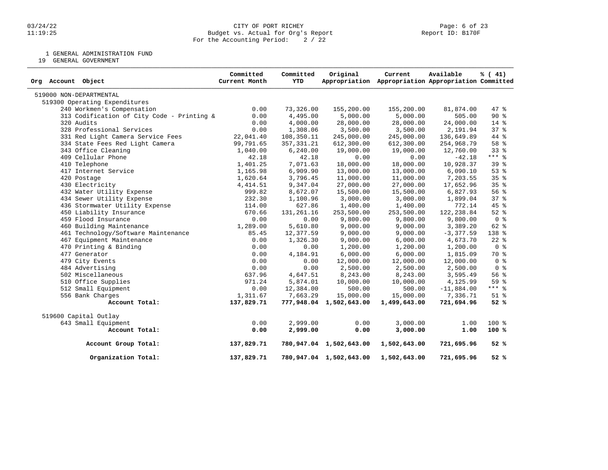1 GENERAL ADMINISTRATION FUND

19 GENERAL GOVERNMENT

| Org Account Object                         | Committed<br>Current Month | Committed<br>YTD | Original                | Current<br>Appropriation Appropriation Appropriation Committed | Available    | % (41)          |
|--------------------------------------------|----------------------------|------------------|-------------------------|----------------------------------------------------------------|--------------|-----------------|
| 519000 NON-DEPARTMENTAL                    |                            |                  |                         |                                                                |              |                 |
| 519300 Operating Expenditures              |                            |                  |                         |                                                                |              |                 |
| 240 Workmen's Compensation                 | 0.00                       | 73,326.00        | 155,200.00              | 155,200.00                                                     | 81,874.00    | 47.8            |
| 313 Codification of City Code - Printing & | 0.00                       | 4,495.00         | 5,000.00                | 5,000.00                                                       | 505.00       | 90%             |
| 320 Audits                                 | 0.00                       | 4,000.00         | 28,000.00               | 28,000.00                                                      | 24,000.00    | $14*$           |
| 328 Professional Services                  | 0.00                       | 1,308.06         | 3,500.00                | 3,500.00                                                       | 2,191.94     | 37%             |
| 331 Red Light Camera Service Fees          | 22,041.40                  | 108,350.11       | 245,000.00              | 245,000.00                                                     | 136,649.89   | 44 %            |
| 334 State Fees Red Light Camera            | 99,791.65                  | 357, 331.21      | 612,300.00              | 612,300.00                                                     | 254,968.79   | 58 <sup>8</sup> |
| 343 Office Cleaning                        | 1,040.00                   | 6, 240.00        | 19,000.00               | 19,000.00                                                      | 12,760.00    | $33*$           |
| 409 Cellular Phone                         | 42.18                      | 42.18            | 0.00                    | 0.00                                                           | $-42.18$     | $***$ 8         |
| 410 Telephone                              | 1,401.25                   | 7,071.63         | 18,000.00               | 18,000.00                                                      | 10,928.37    | 39%             |
| 417 Internet Service                       | 1,165.98                   | 6,909.90         | 13,000.00               | 13,000.00                                                      | 6,090.10     | $53$ $%$        |
| 420 Postage                                | 1,620.64                   | 3,796.45         | 11,000.00               | 11,000.00                                                      | 7,203.55     | 35 <sup>8</sup> |
| 430 Electricity                            | 4, 414.51                  | 9,347.04         | 27,000.00               | 27,000.00                                                      | 17,652.96    | 35 <sup>8</sup> |
| 432 Water Utility Expense                  | 999.82                     | 8,672.07         | 15,500.00               | 15,500.00                                                      | 6,827.93     | 56%             |
| 434 Sewer Utility Expense                  | 232.30                     | 1,100.96         | 3,000.00                | 3,000.00                                                       | 1,899.04     | 37%             |
| 436 Stormwater Utility Expense             | 114.00                     | 627.86           | 1,400.00                | 1,400.00                                                       | 772.14       | 45 %            |
| 450 Liability Insurance                    | 670.66                     | 131, 261. 16     | 253,500.00              | 253,500.00                                                     | 122, 238.84  | $52$ $%$        |
| 459 Flood Insurance                        | 0.00                       | 0.00             | 9,800.00                | 9,800.00                                                       | 9,800.00     | 0 <sup>8</sup>  |
| 460 Building Maintenance                   | 1,289.00                   | 5,610.80         | 9,000.00                | 9,000.00                                                       | 3,389.20     | 62 %            |
| 461 Technology/Software Maintenance        | 85.45                      | 12,377.59        | 9,000.00                | 9,000.00                                                       | $-3,377.59$  | 138 %           |
| 467 Equipment Maintenance                  | 0.00                       | 1,326.30         | 9,000.00                | 6,000.00                                                       | 4,673.70     | $22$ $%$        |
| 470 Printing & Binding                     | 0.00                       | 0.00             | 1,200.00                | 1,200.00                                                       | 1,200.00     | 0 <sup>8</sup>  |
| 477 Generator                              | 0.00                       | 4,184.91         | 6,000.00                | 6,000.00                                                       | 1,815.09     | 70 %            |
| 479 City Events                            | 0.00                       | 0.00             | 12,000.00               | 12,000.00                                                      | 12,000.00    | 0 <sup>8</sup>  |
| 484 Advertising                            | 0.00                       | 0.00             | 2,500.00                | 2,500.00                                                       | 2,500.00     | 0 <sup>8</sup>  |
| 502 Miscellaneous                          | 637.96                     | 4,647.51         | 8,243.00                | 8,243.00                                                       | 3,595.49     | 56 %            |
| 510 Office Supplies                        | 971.24                     | 5,874.01         | 10,000.00               | 10,000.00                                                      | 4,125.99     | 59 %            |
| 512 Small Equipment                        | 0.00                       | 12,384.00        | 500.00                  | 500.00                                                         | $-11,884.00$ | $***$ $%$       |
| 556 Bank Charges                           | 1,311.67                   | 7,663.29         | 15,000.00               | 15,000.00                                                      | 7,336.71     | $51$ %          |
| Account Total:                             | 137,829.71                 |                  | 777,948.04 1,502,643.00 | 1,499,643.00                                                   | 721,694.96   | 52%             |
| 519600 Capital Outlay                      |                            |                  |                         |                                                                |              |                 |
| 643 Small Equipment                        | 0.00                       | 2,999.00         | 0.00                    | 3,000.00                                                       | 1.00         | $100*$          |
| Account Total:                             | 0.00                       | 2,999.00         | 0.00                    | 3,000.00                                                       | 1.00         | 100%            |
| Account Group Total:                       | 137,829.71                 |                  | 780,947.04 1,502,643.00 | 1,502,643.00                                                   | 721,695.96   | 52%             |
| Organization Total:                        | 137,829.71                 |                  | 780,947.04 1,502,643.00 | 1,502,643.00                                                   | 721,695.96   | 52%             |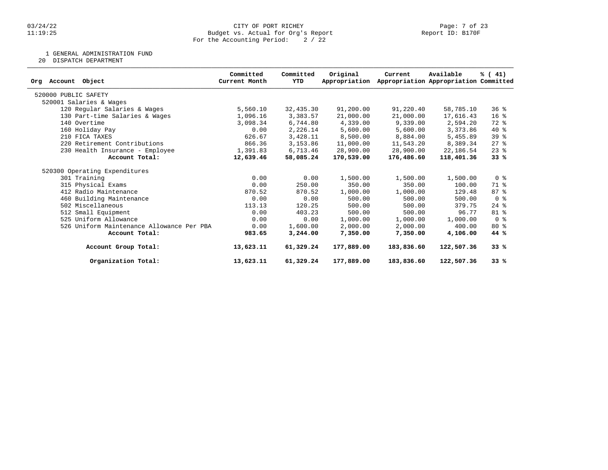# 03/24/22 CITY OF PORT RICHEY Page: 7 of 23 11:19:25 Budget vs. Actual for Org's Report Report ID: B170F For the Accounting Period: 2 / 22

1 GENERAL ADMINISTRATION FUND

20 DISPATCH DEPARTMENT

| Org Account<br>Object                     | Committed<br>Current Month | Committed<br>YTD | Original<br>Appropriation | Current    | Available<br>Appropriation Appropriation Committed | % (41)             |
|-------------------------------------------|----------------------------|------------------|---------------------------|------------|----------------------------------------------------|--------------------|
| 520000 PUBLIC SAFETY                      |                            |                  |                           |            |                                                    |                    |
| 520001 Salaries & Wages                   |                            |                  |                           |            |                                                    |                    |
| 120 Regular Salaries & Wages              | 5,560.10                   | 32,435.30        | 91,200.00                 | 91,220.40  | 58,785.10                                          | 36%                |
| 130 Part-time Salaries & Wages            | 1,096.16                   | 3,383.57         | 21,000.00                 | 21,000.00  | 17,616.43                                          | 16 <sup>8</sup>    |
| 140 Overtime                              | 3,098.34                   | 6,744.80         | 4,339.00                  | 9,339.00   | 2,594.20                                           | 72 %               |
| 160 Holiday Pay                           | 0.00                       | 2,226.14         | 5,600.00                  | 5,600.00   | 3,373.86                                           | $40*$              |
| 210 FICA TAXES                            | 626.67                     | 3,428.11         | 8,500.00                  | 8,884.00   | 5,455.89                                           | 39 %               |
| 220 Retirement Contributions              | 866.36                     | 3,153.86         | 11,000.00                 | 11,543.20  | 8,389.34                                           | $27$ $%$           |
| 230 Health Insurance - Employee           | 1,391.83                   | 6,713.46         | 28,900.00                 | 28,900.00  | 22,186.54                                          | $23$ $%$           |
| Account Total:                            | 12,639.46                  | 58,085.24        | 170,539.00                | 176,486.60 | 118,401.36                                         | 33%                |
| 520300 Operating Expenditures             |                            |                  |                           |            |                                                    |                    |
| 301 Training                              | 0.00                       | 0.00             | 1,500.00                  | 1,500.00   | 1,500.00                                           | 0 <sup>8</sup>     |
| 315 Physical Exams                        | 0.00                       | 250.00           | 350.00                    | 350.00     | 100.00                                             | 71 %               |
| 412 Radio Maintenance                     | 870.52                     | 870.52           | 1,000.00                  | 1,000.00   | 129.48                                             | 87%                |
| 460 Building Maintenance                  | 0.00                       | 0.00             | 500.00                    | 500.00     | 500.00                                             | 0 %                |
| 502 Miscellaneous                         | 113.13                     | 120.25           | 500.00                    | 500.00     | 379.75                                             | $24$ $\frac{6}{6}$ |
| 512 Small Equipment                       | 0.00                       | 403.23           | 500.00                    | 500.00     | 96.77                                              | 81 %               |
| 525 Uniform Allowance                     | 0.00                       | 0.00             | 1,000.00                  | 1,000.00   | 1,000.00                                           | 0 <sup>8</sup>     |
| 526 Uniform Maintenance Allowance Per PBA | 0.00                       | 1,600.00         | 2,000.00                  | 2,000.00   | 400.00                                             | $80*$              |
| Account Total:                            | 983.65                     | 3,244.00         | 7,350.00                  | 7,350.00   | 4,106.00                                           | 44 %               |
| Account Group Total:                      | 13,623.11                  | 61,329.24        | 177,889.00                | 183,836.60 | 122,507.36                                         | 33%                |
| Organization Total:                       | 13,623.11                  | 61,329.24        | 177,889.00                | 183,836.60 | 122,507.36                                         | 33%                |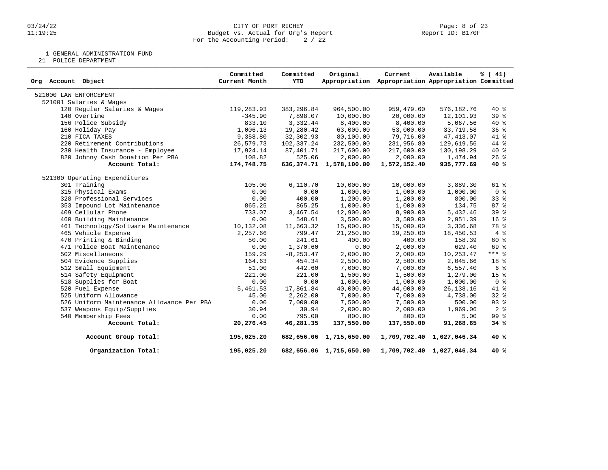# 03/24/22 CITY OF PORT RICHEY Page: 8 of 23 11:19:25 Budget vs. Actual for Org's Report Report ID: B170F For the Accounting Period: 2 / 22

1 GENERAL ADMINISTRATION FUND

21 POLICE DEPARTMENT

| Org Account Object                        | Committed<br>Current Month | Committed<br><b>YTD</b> | Original                   | Current<br>Appropriation Appropriation Appropriation Committed | Available                 | % (41)          |
|-------------------------------------------|----------------------------|-------------------------|----------------------------|----------------------------------------------------------------|---------------------------|-----------------|
| 521000 LAW ENFORCEMENT                    |                            |                         |                            |                                                                |                           |                 |
| 521001 Salaries & Wages                   |                            |                         |                            |                                                                |                           |                 |
| 120 Regular Salaries & Wages              | 119,283.93                 | 383, 296.84             | 964,500.00                 | 959,479.60                                                     | 576,182.76                | $40*$           |
| 140 Overtime                              | $-345.90$                  | 7,898.07                | 10,000.00                  | 20,000.00                                                      | 12,101.93                 | 39 %            |
| 156 Police Subsidy                        | 833.10                     | 3,332.44                | 8,400.00                   | 8,400.00                                                       | 5,067.56                  | $40*$           |
| 160 Holiday Pay                           | 1,006.13                   | 19,280.42               | 63,000.00                  | 53,000.00                                                      | 33,719.58                 | 36%             |
| 210 FICA TAXES                            | 9,358.80                   | 32,302.93               | 80,100.00                  | 79,716.00                                                      | 47, 413.07                | 41 %            |
| 220 Retirement Contributions              | 26,579.73                  | 102,337.24              | 232,500.00                 | 231,956.80                                                     | 129,619.56                | 44 %            |
| 230 Health Insurance - Employee           | 17,924.14                  | 87,401.71               | 217,600.00                 | 217,600.00                                                     | 130,198.29                | $40*$           |
| 820 Johnny Cash Donation Per PBA          | 108.82                     | 525.06                  | 2,000.00                   | 2,000.00                                                       | 1,474.94                  | $26$ %          |
| Account Total:                            | 174,748.75                 |                         | 636, 374.71 1, 578, 100.00 | 1,572,152.40                                                   | 935,777.69                | 40%             |
| 521300 Operating Expenditures             |                            |                         |                            |                                                                |                           |                 |
| 301 Training                              | 105.00                     | 6,110.70                | 10,000.00                  | 10,000.00                                                      | 3,889.30                  | 61 %            |
| 315 Physical Exams                        | 0.00                       | 0.00                    | 1,000.00                   | 1,000.00                                                       | 1,000.00                  | 0 <sup>8</sup>  |
| 328 Professional Services                 | 0.00                       | 400.00                  | 1,200.00                   | 1,200.00                                                       | 800.00                    | 33%             |
| 353 Impound Lot Maintenance               | 865.25                     | 865.25                  | 1,000.00                   | 1,000.00                                                       | 134.75                    | 87%             |
| 409 Cellular Phone                        | 733.07                     | 3,467.54                | 12,900.00                  | 8,900.00                                                       | 5,432.46                  | 39%             |
| 460 Building Maintenance                  | 0.00                       | 548.61                  | 3,500.00                   | 3,500.00                                                       | 2,951.39                  | 16 <sup>°</sup> |
| 461 Technology/Software Maintenance       | 10,132.08                  | 11,663.32               | 15,000.00                  | 15,000.00                                                      | 3,336.68                  | 78 %            |
| 465 Vehicle Expense                       | 2,257.66                   | 799.47                  | 21,250.00                  | 19,250.00                                                      | 18,450.53                 | 4%              |
| 470 Printing & Binding                    | 50.00                      | 241.61                  | 400.00                     | 400.00                                                         | 158.39                    | $60*$           |
| 471 Police Boat Maintenance               | 0.00                       | 1,370.60                | 0.00                       | 2,000.00                                                       | 629.40                    | 69 %            |
| 502 Miscellaneous                         | 159.29                     | $-8, 253.47$            | 2,000.00                   | 2,000.00                                                       | 10,253.47                 | $***$ 8         |
| 504 Evidence Supplies                     | 164.63                     | 454.34                  | 2,500.00                   | 2,500.00                                                       | 2,045.66                  | 18 %            |
| 512 Small Equipment                       | 51.00                      | 442.60                  | 7,000.00                   | 7,000.00                                                       | 6,557.40                  | 6 %             |
| 514 Safety Equipment                      | 221.00                     | 221.00                  | 1,500.00                   | 1,500.00                                                       | 1,279.00                  | 15 <sup>8</sup> |
| 518 Supplies for Boat                     | 0.00                       | 0.00                    | 1,000.00                   | 1,000.00                                                       | 1,000.00                  | 0 <sup>8</sup>  |
| 520 Fuel Expense                          | 5,461.53                   | 17,861.84               | 40,000.00                  | 44,000.00                                                      | 26, 138. 16               | 41 %            |
| 525 Uniform Allowance                     | 45.00                      | 2,262.00                | 7,000.00                   | 7,000.00                                                       | 4,738.00                  | $32*$           |
| 526 Uniform Maintenance Allowance Per PBA | 0.00                       | 7,000.00                | 7,500.00                   | 7,500.00                                                       | 500.00                    | 93%             |
| 537 Weapons Equip/Supplies                | 30.94                      | 30.94                   | 2,000.00                   | 2,000.00                                                       | 1,969.06                  | 2 <sup>8</sup>  |
| 540 Membership Fees                       | 0.00                       | 795.00                  | 800.00                     | 800.00                                                         | 5.00                      | 99 %            |
| Account Total:                            | 20,276.45                  | 46,281.35               | 137,550.00                 | 137,550.00                                                     | 91,268.65                 | 34%             |
| Account Group Total:                      | 195,025.20                 |                         | 682,656.06 1,715,650.00    |                                                                | 1,709,702.40 1,027,046.34 | 40 %            |
| Organization Total:                       | 195,025.20                 |                         | 682,656.06 1,715,650.00    |                                                                | 1,709,702.40 1,027,046.34 | 40 %            |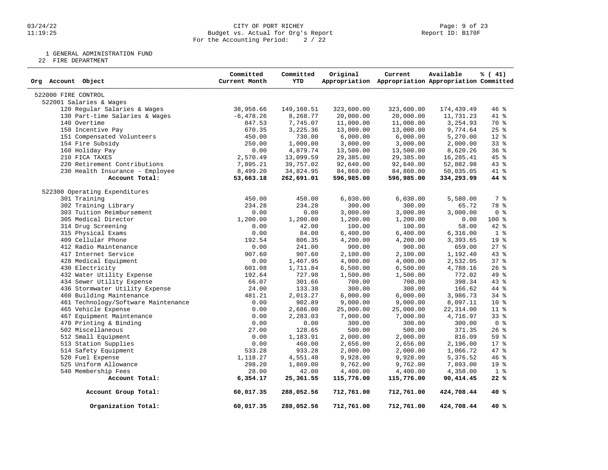#### 03/24/22 CITY OF PORT RICHEY Page: 9 of 23 11:19:25 Budget vs. Actual for Org's Report Report ID: B170F For the Accounting Period: 2 / 22

1 GENERAL ADMINISTRATION FUND

22 FIRE DEPARTMENT

| Org Account Object                  | Committed<br>Current Month | Committed<br><b>YTD</b> | Original   | Current<br>Appropriation Appropriation Appropriation Committed | Available  | % (41)          |
|-------------------------------------|----------------------------|-------------------------|------------|----------------------------------------------------------------|------------|-----------------|
| 522000 FIRE CONTROL                 |                            |                         |            |                                                                |            |                 |
| 522001 Salaries & Wages             |                            |                         |            |                                                                |            |                 |
| 120 Regular Salaries & Wages        | 38,958.66                  | 149,160.51              | 323,600.00 | 323,600.00                                                     | 174,439.49 | 46 %            |
| 130 Part-time Salaries & Wages      | $-6,478.26$                | 8,268.77                | 20,000.00  | 20,000.00                                                      | 11,731.23  | 41 %            |
| 140 Overtime                        | 847.53                     | 7,745.07                | 11,000.00  | 11,000.00                                                      | 3,254.93   | 70 %            |
| 150 Incentive Pay                   | 670.35                     | 3,225.36                | 13,000.00  | 13,000.00                                                      | 9,774.64   | $25$ %          |
| 151 Compensated Volunteers          | 450.00                     | 730.00                  | 6,000.00   | 6,000.00                                                       | 5,270.00   | $12*$           |
| 154 Fire Subsidy                    | 250.00                     | 1,000.00                | 3,000.00   | 3,000.00                                                       | 2,000.00   | 33%             |
| 160 Holiday Pay                     | 0.00                       | 4,879.74                | 13,500.00  | 13,500.00                                                      | 8,620.26   | 36%             |
| 210 FICA TAXES                      | 2,570.49                   | 13,099.59               | 29,385.00  | 29,385.00                                                      | 16,285.41  | 45 %            |
| 220 Retirement Contributions        | 7,895.21                   | 39,757.02               | 92,640.00  | 92,640.00                                                      | 52,882.98  | 43 %            |
| 230 Health Insurance - Employee     | 8,499.20                   | 34,824.95               | 84,860.00  | 84,860.00                                                      | 50,035.05  | 41 %            |
| Account Total:                      | 53,663.18                  | 262,691.01              | 596,985.00 | 596,985.00                                                     | 334,293.99 | 44 %            |
| 522300 Operating Expenditures       |                            |                         |            |                                                                |            |                 |
| 301 Training                        | 450.00                     | 450.00                  | 6,030.00   | 6,030.00                                                       | 5,580.00   | 7 %             |
| 302 Training Library                | 234.28                     | 234.28                  | 300.00     | 300.00                                                         | 65.72      | 78 %            |
| 303 Tuition Reimbursement           | 0.00                       | 0.00                    | 3,000.00   | 3,000.00                                                       | 3,000.00   | 0 <sup>8</sup>  |
| 305 Medical Director                | 1,200.00                   | 1,200.00                | 1,200.00   | 1,200.00                                                       | 0.00       | $100*$          |
| 314 Drug Screening                  | 0.00                       | 42.00                   | 100.00     | 100.00                                                         | 58.00      | 42 %            |
| 315 Physical Exams                  | 0.00                       | 84.00                   | 6,400.00   | 6,400.00                                                       | 6,316.00   | 1 <sup>8</sup>  |
| 409 Cellular Phone                  | 192.54                     | 806.35                  | 4,200.00   | 4,200.00                                                       | 3,393.65   | 19 %            |
| 412 Radio Maintenance               | 0.00                       | 241.00                  | 900.00     | 900.00                                                         | 659.00     | $27$ $%$        |
| 417 Internet Service                | 907.60                     | 907.60                  | 2,100.00   | 2,100.00                                                       | 1,192.40   | 43%             |
| 428 Medical Equipment               | 0.00                       | 1,467.95                | 4,000.00   | 4,000.00                                                       | 2,532.05   | 37 <sub>8</sub> |
| 430 Electricity                     | 601.08                     |                         |            |                                                                |            | 26%             |
|                                     |                            | 1,711.84                | 6,500.00   | 6,500.00                                                       | 4,788.16   | 49 %            |
| 432 Water Utility Expense           | 192.64                     | 727.98                  | 1,500.00   | 1,500.00                                                       | 772.02     |                 |
| 434 Sewer Utility Expense           | 66.07                      | 301.66                  | 700.00     | 700.00                                                         | 398.34     | 43 %            |
| 436 Stormwater Utility Expense      | 24.00                      | 133.38                  | 300.00     | 300.00                                                         | 166.62     | 44 %            |
| 460 Building Maintenance            | 481.21                     | 2,013.27                | 6,000.00   | 6,000.00                                                       | 3,986.73   | 34 %            |
| 461 Technology/Software Maintenance | 0.00                       | 902.89                  | 9,000.00   | 9,000.00                                                       | 8,097.11   | $10*$           |
| 465 Vehicle Expense                 | 0.00                       | 2,686.00                | 25,000.00  | 25,000.00                                                      | 22, 314.00 | $11*$           |
| 467 Equipment Maintenance           | 0.00                       | 2,283.03                | 7,000.00   | 7,000.00                                                       | 4,716.97   | 33%             |
| 470 Printing & Binding              | 0.00                       | 0.00                    | 300.00     | 300.00                                                         | 300.00     | 0 <sup>8</sup>  |
| 502 Miscellaneous                   | 27.00                      | 128.65                  | 500.00     | 500.00                                                         | 371.35     | 26%             |
| 512 Small Equipment                 | 0.00                       | 1,183.91                | 2,000.00   | 2,000.00                                                       | 816.09     | 59 %            |
| 513 Station Supplies                | 0.00                       | 460.00                  | 2,656.00   | 2,656.00                                                       | 2,196.00   | 17 <sup>8</sup> |
| 514 Safety Equipment                | 533.28                     | 933.28                  | 2,000.00   | 2,000.00                                                       | 1,066.72   | 47 %            |
| 520 Fuel Expense                    | 1,118.27                   | 4,551.48                | 9,928.00   | 9,928.00                                                       | 5,376.52   | 46 %            |
| 525 Uniform Allowance               | 298.20                     | 1,869.00                | 9,762.00   | 9,762.00                                                       | 7,893.00   | 19 <sup>°</sup> |
| 540 Membership Fees                 | 28.00                      | 42.00                   | 4,400.00   | 4,400.00                                                       | 4,358.00   | 1 <sup>8</sup>  |
| Account Total:                      | 6,354.17                   | 25,361.55               | 115,776.00 | 115,776.00                                                     | 90,414.45  | 22%             |
| Account Group Total:                | 60,017.35                  | 288,052.56              | 712,761.00 | 712,761.00                                                     | 424,708.44 | 40 %            |
| Organization Total:                 | 60,017.35                  | 288,052.56              | 712,761.00 | 712,761.00                                                     | 424,708.44 | 40 %            |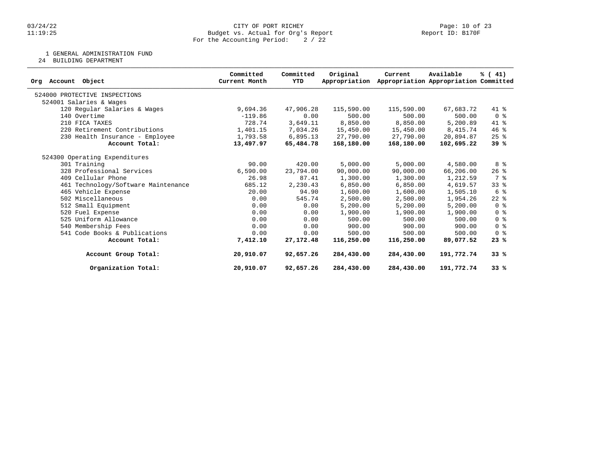# 03/24/22 CITY OF PORT RICHEY Page: 10 of 23 11:19:25 Budget vs. Actual for Org's Report Report ID: B170F For the Accounting Period: 2 / 22

1 GENERAL ADMINISTRATION FUND

24 BUILDING DEPARTMENT

| Account Object<br>Ora               | Committed<br>Current Month | Committed<br>YTD | Original<br>Appropriation | Current    | Available<br>Appropriation Appropriation Committed | % (41)                             |
|-------------------------------------|----------------------------|------------------|---------------------------|------------|----------------------------------------------------|------------------------------------|
| 524000 PROTECTIVE INSPECTIONS       |                            |                  |                           |            |                                                    |                                    |
| 524001 Salaries & Wages             |                            |                  |                           |            |                                                    |                                    |
| 120 Regular Salaries & Wages        | 9,694.36                   | 47,906.28        | 115,590.00                | 115,590.00 | 67,683.72                                          | 41 %                               |
| 140 Overtime                        | $-119.86$                  | 0.00             | 500.00                    | 500.00     | 500.00                                             | $0 \text{ }$ $\text{ }$ $\text{ }$ |
| 210 FICA TAXES                      | 728.74                     | 3,649.11         | 8,850.00                  | 8,850.00   | 5,200.89                                           | 41 %                               |
| 220 Retirement Contributions        | 1,401.15                   | 7,034.26         | 15,450.00                 | 15,450.00  | 8,415.74                                           | 46%                                |
| 230 Health Insurance - Employee     | 1,793.58                   | 6,895.13         | 27,790.00                 | 27,790.00  | 20,894.87                                          | $25$ $\frac{6}{5}$                 |
| Account Total:                      | 13,497.97                  | 65,484.78        | 168,180.00                | 168,180.00 | 102,695.22                                         | 39%                                |
| 524300 Operating Expenditures       |                            |                  |                           |            |                                                    |                                    |
| 301 Training                        | 90.00                      | 420.00           | 5,000.00                  | 5,000.00   | 4,580.00                                           | 8 %                                |
| 328 Professional Services           | 6,590.00                   | 23,794.00        | 90,000.00                 | 90,000.00  | 66,206.00                                          | $26$ %                             |
| 409 Cellular Phone                  | 26.98                      | 87.41            | 1,300.00                  | 1,300.00   | 1,212.59                                           | 7 %                                |
| 461 Technology/Software Maintenance | 685.12                     | 2,230.43         | 6,850.00                  | 6,850.00   | 4,619.57                                           | $33*$                              |
| 465 Vehicle Expense                 | 20.00                      | 94.90            | 1,600.00                  | 1,600.00   | 1,505.10                                           | 6 %                                |
| 502 Miscellaneous                   | 0.00                       | 545.74           | 2,500.00                  | 2,500.00   | 1,954.26                                           | $22$ $%$                           |
| 512 Small Equipment                 | 0.00                       | 0.00             | 5,200.00                  | 5,200.00   | 5,200.00                                           | 0 <sup>8</sup>                     |
| 520 Fuel Expense                    | 0.00                       | 0.00             | 1,900.00                  | 1,900.00   | 1,900.00                                           | 0 <sup>8</sup>                     |
| 525 Uniform Allowance               | 0.00                       | 0.00             | 500.00                    | 500.00     | 500.00                                             | 0 <sup>8</sup>                     |
| 540 Membership Fees                 | 0.00                       | 0.00             | 900.00                    | 900.00     | 900.00                                             | 0 <sup>8</sup>                     |
| 541 Code Books & Publications       | 0.00                       | 0.00             | 500.00                    | 500.00     | 500.00                                             | 0 <sup>8</sup>                     |
| Account Total:                      | 7,412.10                   | 27, 172. 48      | 116,250.00                | 116,250.00 | 89,077.52                                          | 23%                                |
| Account Group Total:                | 20,910.07                  | 92,657.26        | 284,430.00                | 284,430.00 | 191,772.74                                         | 33%                                |
| Organization Total:                 | 20,910.07                  | 92,657.26        | 284,430.00                | 284,430.00 | 191,772.74                                         | 33%                                |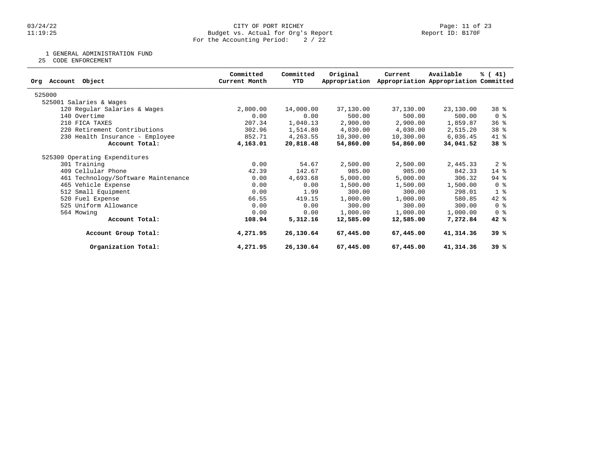# 03/24/22 CITY OF PORT RICHEY Page: 11 of 23 11:19:25 Budget vs. Actual for Org's Report Report ID: B170F For the Accounting Period: 2 / 22

1 GENERAL ADMINISTRATION FUND

25 CODE ENFORCEMENT

| Object<br>Account<br>Org            | Committed<br>Current Month | Committed<br>YTD | Original<br>Appropriation | Current   | Available<br>Appropriation Appropriation Committed | % (41)          |
|-------------------------------------|----------------------------|------------------|---------------------------|-----------|----------------------------------------------------|-----------------|
|                                     |                            |                  |                           |           |                                                    |                 |
| 525000                              |                            |                  |                           |           |                                                    |                 |
| 525001 Salaries & Wages             |                            |                  |                           |           |                                                    |                 |
| 120 Regular Salaries & Wages        | 2,800.00                   | 14,000.00        | 37,130.00                 | 37,130.00 | 23,130.00                                          | 38 %            |
| 140 Overtime                        | 0.00                       | 0.00             | 500.00                    | 500.00    | 500.00                                             | 0 <sup>8</sup>  |
| 210 FICA TAXES                      | 207.34                     | 1,040.13         | 2,900.00                  | 2,900.00  | 1,859.87                                           | 36%             |
| 220 Retirement Contributions        | 302.96                     | 1,514.80         | 4,030.00                  | 4,030.00  | 2,515.20                                           | 38 <sup>8</sup> |
| 230 Health Insurance - Employee     | 852.71                     | 4,263.55         | 10,300.00                 | 10,300.00 | 6,036.45                                           | 41 %            |
| Account Total:                      | 4,163.01                   | 20,818.48        | 54,860.00                 | 54,860.00 | 34,041.52                                          | 38%             |
| 525300 Operating Expenditures       |                            |                  |                           |           |                                                    |                 |
| 301 Training                        | 0.00                       | 54.67            | 2,500.00                  | 2,500.00  | 2,445.33                                           | 2 <sub>8</sub>  |
| 409 Cellular Phone                  | 42.39                      | 142.67           | 985.00                    | 985.00    | 842.33                                             | 14 %            |
| 461 Technology/Software Maintenance | 0.00                       | 4,693.68         | 5,000.00                  | 5,000.00  | 306.32                                             | 94 %            |
| 465 Vehicle Expense                 | 0.00                       | 0.00             | 1,500.00                  | 1,500.00  | 1,500.00                                           | 0 <sup>8</sup>  |
| 512 Small Equipment                 | 0.00                       | 1.99             | 300.00                    | 300.00    | 298.01                                             | $1 \circ$       |
| 520 Fuel Expense                    | 66.55                      | 419.15           | 1,000.00                  | 1,000.00  | 580.85                                             | $42$ %          |
| 525 Uniform Allowance               | 0.00                       | 0.00             | 300.00                    | 300.00    | 300.00                                             | 0 <sup>8</sup>  |
| 564 Mowing                          | 0.00                       | 0.00             | 1,000.00                  | 1,000.00  | 1,000.00                                           | 0 <sup>8</sup>  |
| Account Total:                      | 108.94                     | 5,312.16         | 12,585.00                 | 12,585.00 | 7,272.84                                           | 42%             |
| Account Group Total:                | 4,271.95                   | 26,130.64        | 67,445.00                 | 67,445.00 | 41,314.36                                          | 39%             |
| Organization Total:                 | 4,271.95                   | 26,130.64        | 67,445.00                 | 67,445.00 | 41,314.36                                          | 39%             |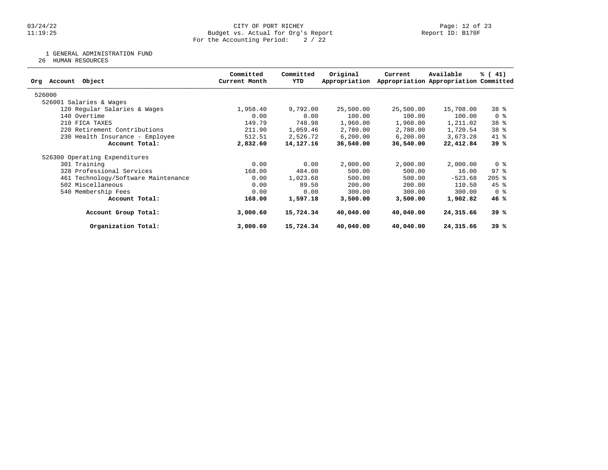# 03/24/22 CITY OF PORT RICHEY Page: 12 of 23 11:19:25 Budget vs. Actual for Org's Report Report ID: B170F For the Accounting Period: 2 / 22

1 GENERAL ADMINISTRATION FUND

26 HUMAN RESOURCES

| Object<br>Org Account               | Committed<br>Current Month | Committed<br>YTD | Original<br>Appropriation | Current   | Available<br>Appropriation Appropriation Committed | % (41)              |
|-------------------------------------|----------------------------|------------------|---------------------------|-----------|----------------------------------------------------|---------------------|
| 526000                              |                            |                  |                           |           |                                                    |                     |
| 526001 Salaries & Wages             |                            |                  |                           |           |                                                    |                     |
| 120 Regular Salaries & Wages        | 1,958.40                   | 9,792.00         | 25,500.00                 | 25,500.00 | 15,708.00                                          | 38 %                |
| 140 Overtime                        | 0.00                       | 0.00             | 100.00                    | 100.00    | 100.00                                             | 0 <sup>8</sup>      |
| 210 FICA TAXES                      | 149.79                     | 748.98           | 1,960.00                  | 1,960.00  | 1,211.02                                           | 38 %                |
| 220 Retirement Contributions        | 211.90                     | 1,059.46         | 2,780.00                  | 2,780.00  | 1,720.54                                           | 38 %                |
| 230 Health Insurance - Employee     | 512.51                     | 2,526.72         | 6, 200.00                 | 6, 200.00 | 3,673.28                                           | 41 %                |
| Account Total:                      | 2,832.60                   | 14, 127. 16      | 36,540.00                 | 36,540.00 | 22,412.84                                          | 39%                 |
| 526300 Operating Expenditures       |                            |                  |                           |           |                                                    |                     |
| 301 Training                        | 0.00                       | 0.00             | 2,000.00                  | 2,000.00  | 2,000.00                                           | 0 <sup>8</sup>      |
| 328 Professional Services           | 168.00                     | 484.00           | 500.00                    | 500.00    | 16.00                                              | $97$ $\frac{6}{3}$  |
| 461 Technology/Software Maintenance | 0.00                       | 1,023.68         | 500.00                    | 500.00    | $-523.68$                                          | $205$ $\frac{6}{5}$ |
| 502 Miscellaneous                   | 0.00                       | 89.50            | 200.00                    | 200.00    | 110.50                                             | $45$ %              |
| 540 Membership Fees                 | 0.00                       | 0.00             | 300.00                    | 300.00    | 300.00                                             | 0 %                 |
| Account Total:                      | 168.00                     | 1,597.18         | 3,500.00                  | 3,500.00  | 1,902.82                                           | 46%                 |
| Account Group Total:                | 3,000.60                   | 15,724.34        | 40,040.00                 | 40,040.00 | 24,315.66                                          | 39%                 |
| Organization Total:                 | 3,000.60                   | 15,724.34        | 40,040.00                 | 40,040.00 | 24,315.66                                          | 39 %                |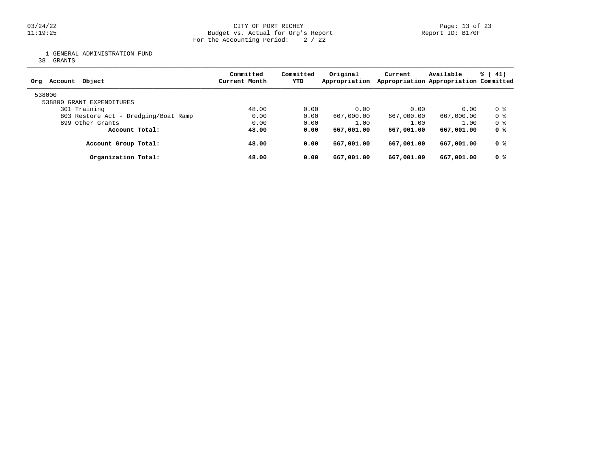# 03/24/22 CITY OF PORT RICHEY Page: 13 of 23 11:19:25 Budget vs. Actual for Org's Report Report ID: B170F For the Accounting Period: 2 / 22

1 GENERAL ADMINISTRATION FUND

38 GRANTS

| Object<br>Account<br>Org             | Committed<br>Current Month | Committed<br>YTD | Original<br>Appropriation | Current    | Available<br>Appropriation Appropriation Committed | % (41) |
|--------------------------------------|----------------------------|------------------|---------------------------|------------|----------------------------------------------------|--------|
| 538000                               |                            |                  |                           |            |                                                    |        |
| 538800 GRANT EXPENDITURES            |                            |                  |                           |            |                                                    |        |
| 301 Training                         | 48.00                      | 0.00             | 0.00                      | 0.00       | 0.00                                               | 0 %    |
| 803 Restore Act - Dredging/Boat Ramp | 0.00                       | 0.00             | 667,000.00                | 667,000.00 | 667,000.00                                         | 0 %    |
| 899 Other Grants                     | 0.00                       | 0.00             | 1.00                      | 1.00       | 1.00                                               | 0 %    |
| Account Total:                       | 48.00                      | 0.00             | 667,001.00                | 667,001.00 | 667,001.00                                         | 0 %    |
| Account Group Total:                 | 48.00                      | 0.00             | 667,001.00                | 667,001.00 | 667,001.00                                         | 0 %    |
| Organization Total:                  | 48.00                      | 0.00             | 667,001.00                | 667,001.00 | 667,001.00                                         | 0 %    |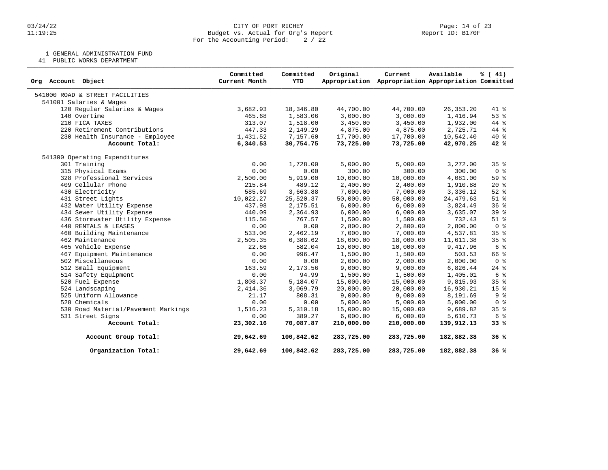1 GENERAL ADMINISTRATION FUND

41 PUBLIC WORKS DEPARTMENT

| Org Account Object                  | Committed<br>Current Month | Committed<br><b>YTD</b> | Original   | Current<br>Appropriation Appropriation Appropriation Committed | Available   | % (41)          |
|-------------------------------------|----------------------------|-------------------------|------------|----------------------------------------------------------------|-------------|-----------------|
| 541000 ROAD & STREET FACILITIES     |                            |                         |            |                                                                |             |                 |
| 541001 Salaries & Wages             |                            |                         |            |                                                                |             |                 |
| 120 Regular Salaries & Wages        | 3,682.93                   | 18,346.80               | 44,700.00  | 44,700.00                                                      | 26, 353. 20 | 41 %            |
| 140 Overtime                        | 465.68                     | 1,583.06                | 3,000.00   | 3,000.00                                                       | 1,416.94    | 53%             |
| 210 FICA TAXES                      | 313.07                     | 1,518.00                | 3,450.00   | 3,450.00                                                       | 1,932.00    | 44 %            |
| 220 Retirement Contributions        | 447.33                     | 2,149.29                | 4,875.00   | 4,875.00                                                       | 2,725.71    | 44 %            |
| 230 Health Insurance - Employee     | 1,431.52                   | 7,157.60                | 17,700.00  | 17,700.00                                                      | 10,542.40   | $40*$           |
| Account Total:                      | 6,340.53                   | 30,754.75               | 73,725.00  | 73,725.00                                                      | 42,970.25   | 42 %            |
| 541300 Operating Expenditures       |                            |                         |            |                                                                |             |                 |
| 301 Training                        | 0.00                       | 1,728.00                | 5,000.00   | 5,000.00                                                       | 3,272.00    | 35 <sup>8</sup> |
| 315 Physical Exams                  | 0.00                       | 0.00                    | 300.00     | 300.00                                                         | 300.00      | 0 <sup>8</sup>  |
| 328 Professional Services           | 2,500.00                   | 5,919.00                | 10,000.00  | 10,000.00                                                      | 4,081.00    | 59 <sup>8</sup> |
| 409 Cellular Phone                  | 215.84                     | 489.12                  | 2,400.00   | 2,400.00                                                       | 1,910.88    | $20*$           |
| 430 Electricity                     | 585.69                     | 3,663.88                | 7,000.00   | 7,000.00                                                       | 3,336.12    | $52$ $%$        |
| 431 Street Lights                   | 10,022.27                  | 25,520.37               | 50,000.00  | 50,000.00                                                      | 24, 479.63  | $51$ $%$        |
| 432 Water Utility Expense           | 437.98                     | 2,175.51                | 6,000.00   | 6,000.00                                                       | 3,824.49    | 36%             |
| 434 Sewer Utility Expense           | 440.09                     | 2,364.93                | 6,000.00   | 6,000.00                                                       | 3,635.07    | 39 %            |
| 436 Stormwater Utility Expense      | 115.50                     | 767.57                  | 1,500.00   | 1,500.00                                                       | 732.43      | $51$ $%$        |
| 440 RENTALS & LEASES                | 0.00                       | 0.00                    | 2,800.00   | 2,800.00                                                       | 2,800.00    | 0 <sup>8</sup>  |
| 460 Building Maintenance            | 533.06                     | 2,462.19                | 7,000.00   | 7,000.00                                                       | 4,537.81    | 35 <sup>8</sup> |
| 462 Maintenance                     | 2,505.35                   | 6,388.62                | 18,000.00  | 18,000.00                                                      | 11,611.38   | 35%             |
| 465 Vehicle Expense                 | 22.66                      | 582.04                  | 10,000.00  | 10,000.00                                                      | 9,417.96    | 6 %             |
| 467 Equipment Maintenance           | 0.00                       | 996.47                  | 1,500.00   | 1,500.00                                                       | 503.53      | 66 %            |
| 502 Miscellaneous                   | 0.00                       | 0.00                    | 2,000.00   | 2,000.00                                                       | 2,000.00    | 0 <sup>8</sup>  |
| 512 Small Equipment                 | 163.59                     | 2,173.56                | 9,000.00   | 9,000.00                                                       | 6,826.44    | $24$ %          |
| 514 Safety Equipment                | 0.00                       | 94.99                   | 1,500.00   | 1,500.00                                                       | 1,405.01    | 6 %             |
| 520 Fuel Expense                    | 1,808.37                   | 5,184.07                | 15,000.00  | 15,000.00                                                      | 9,815.93    | 35%             |
| 524 Landscaping                     | 2,414.36                   | 3,069.79                | 20,000.00  | 20,000.00                                                      | 16,930.21   | 15 <sup>°</sup> |
| 525 Uniform Allowance               | 21.17                      | 808.31                  | 9,000.00   | 9,000.00                                                       | 8,191.69    | 9 <sub>8</sub>  |
| 528 Chemicals                       | 0.00                       | 0.00                    | 5,000.00   | 5,000.00                                                       | 5,000.00    | 0 <sup>8</sup>  |
| 530 Road Material/Pavement Markings | 1,516.23                   | 5,310.18                | 15,000.00  | 15,000.00                                                      | 9,689.82    | 35 <sup>8</sup> |
| 531 Street Signs                    | 0.00                       | 389.27                  | 6,000.00   | 6,000.00                                                       | 5,610.73    | 6 %             |
| Account Total:                      | 23,302.16                  | 70,087.87               | 210,000.00 | 210,000.00                                                     | 139,912.13  | 33%             |
| Account Group Total:                | 29,642.69                  | 100,842.62              | 283,725.00 | 283,725.00                                                     | 182,882.38  | 36%             |
| Organization Total:                 | 29,642.69                  | 100,842.62              | 283,725.00 | 283,725.00                                                     | 182,882.38  | 36%             |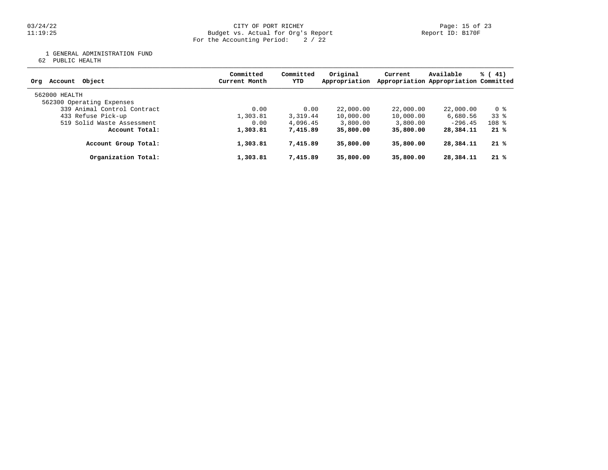03/24/22 CITY OF PORT RICHEY Page: 15 of 23 11:19:25 Budget vs. Actual for Org's Report Report ID: B170F For the Accounting Period: 2 / 22

1 GENERAL ADMINISTRATION FUND

62 PUBLIC HEALTH

| Object<br>Account<br>Orq    | Committed<br>Current Month | Committed<br>YTD | Original<br>Appropriation | Current   | Available<br>Appropriation Appropriation Committed | % (41)  |
|-----------------------------|----------------------------|------------------|---------------------------|-----------|----------------------------------------------------|---------|
| 562000 HEALTH               |                            |                  |                           |           |                                                    |         |
| 562300 Operating Expenses   |                            |                  |                           |           |                                                    |         |
| 339 Animal Control Contract | 0.00                       | 0.00             | 22,000.00                 | 22,000.00 | 22,000.00                                          | 0 %     |
| 433 Refuse Pick-up          | 1,303.81                   | 3,319.44         | 10,000.00                 | 10,000.00 | 6,680.56                                           | 338     |
| 519 Solid Waste Assessment  | 0.00                       | 4,096.45         | 3,800.00                  | 3,800.00  | $-296.45$                                          | $108$ % |
| Account Total:              | 1,303.81                   | 7,415.89         | 35,800.00                 | 35,800,00 | 28,384.11                                          | $21*$   |
| Account Group Total:        | 1,303.81                   | 7,415.89         | 35,800,00                 | 35,800,00 | 28,384.11                                          | $21*$   |
| Organization Total:         | 1,303.81                   | 7,415.89         | 35,800.00                 | 35,800.00 | 28,384.11                                          | $21*$   |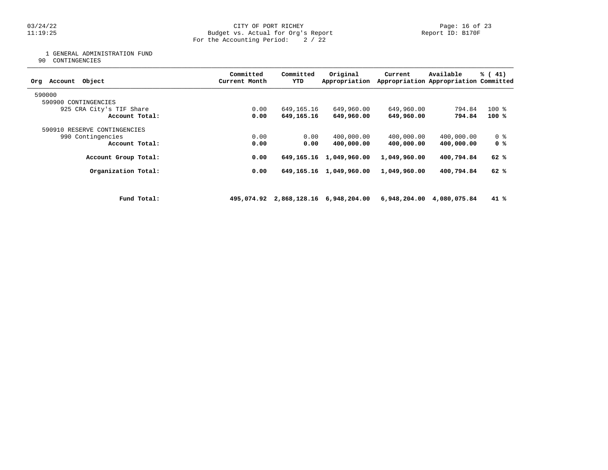# 03/24/22 CITY OF PORT RICHEY Page: 16 of 23 11:19:25 Budget vs. Actual for Org's Report Report ID: B170F For the Accounting Period: 2 / 22

1 GENERAL ADMINISTRATION FUND

90 CONTINGENCIES

| Object<br>Account<br>Org     |             | Committed<br>Current Month | Committed<br>YTD | Original<br>Appropriation            | Current      | Available<br>Appropriation Appropriation Committed | $\frac{1}{6}$ ( 41) |
|------------------------------|-------------|----------------------------|------------------|--------------------------------------|--------------|----------------------------------------------------|---------------------|
| 590000                       |             |                            |                  |                                      |              |                                                    |                     |
| 590900 CONTINGENCIES         |             |                            |                  |                                      |              |                                                    |                     |
| 925 CRA City's TIF Share     |             | 0.00                       | 649,165.16       | 649,960.00                           | 649,960.00   | 794.84                                             | $100*$              |
| Account Total:               |             | 0.00                       | 649,165.16       | 649,960.00                           | 649,960.00   | 794.84                                             | 100 %               |
| 590910 RESERVE CONTINGENCIES |             |                            |                  |                                      |              |                                                    |                     |
| 990 Contingencies            |             | 0.00                       | 0.00             | 400,000.00                           | 400,000.00   | 400,000.00                                         | 0 <sub>8</sub>      |
| Account Total:               |             | 0.00                       | 0.00             | 400,000.00                           | 400,000.00   | 400,000.00                                         | 0 %                 |
| Account Group Total:         |             | 0.00                       | 649,165.16       | 1,049,960.00                         | 1,049,960.00 | 400,794.84                                         | 62 %                |
| Organization Total:          |             | 0.00                       |                  | 649, 165. 16 1, 049, 960. 00         | 1,049,960.00 | 400,794.84                                         | 62 %                |
|                              |             |                            |                  |                                      |              |                                                    |                     |
|                              | Fund Total: |                            |                  | 495,074.92 2,868,128.16 6,948,204.00 |              | 6,948,204.00 4,080,075.84                          | 41 %                |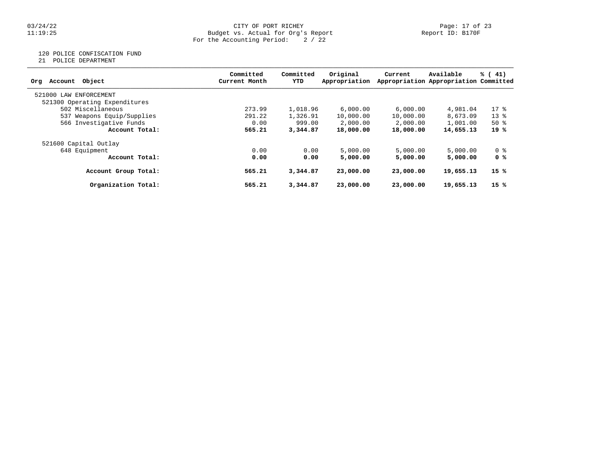# 03/24/22 CITY OF PORT RICHEY Page: 17 of 23 11:19:25 Budget vs. Actual for Org's Report Report ID: B170F For the Accounting Period: 2 / 22

# 120 POLICE CONFISCATION FUND

21 POLICE DEPARTMENT

|                               | Committed     | Committed | Original      | Current   | Available                             | % (41) |
|-------------------------------|---------------|-----------|---------------|-----------|---------------------------------------|--------|
| Object<br>Account<br>Org      | Current Month | YTD       | Appropriation |           | Appropriation Appropriation Committed |        |
| 521000 LAW<br>ENFORCEMENT     |               |           |               |           |                                       |        |
| 521300 Operating Expenditures |               |           |               |           |                                       |        |
| 502 Miscellaneous             | 273.99        | 1,018.96  | 6,000.00      | 6,000.00  | 4,981.04                              | $17*$  |
| 537 Weapons Equip/Supplies    | 291.22        | 1,326.91  | 10,000.00     | 10,000.00 | 8,673.09                              | $13*$  |
| 566 Investigative Funds       | 0.00          | 999.00    | 2,000.00      | 2,000.00  | 1,001.00                              | $50*$  |
| Account Total:                | 565.21        | 3,344,87  | 18,000.00     | 18,000.00 | 14,655.13                             | 19 %   |
| 521600 Capital Outlay         |               |           |               |           |                                       |        |
| 648 Equipment                 | 0.00          | 0.00      | 5,000.00      | 5,000.00  | 5,000.00                              | 0 %    |
| Account Total:                | 0.00          | 0.00      | 5,000,00      | 5,000.00  | 5,000.00                              | 0 %    |
| Account Group Total:          | 565.21        | 3,344.87  | 23,000,00     | 23,000,00 | 19,655.13                             | 15 %   |
| Organization Total:           | 565.21        | 3,344.87  | 23,000,00     | 23,000,00 | 19,655.13                             | 15%    |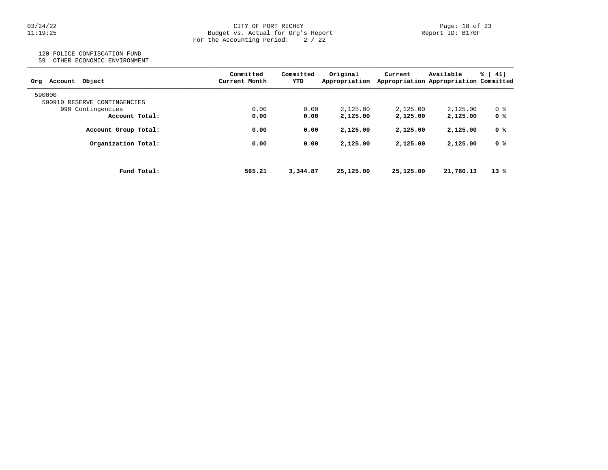# 03/24/22 CITY OF PORT RICHEY Page: 18 of 23 11:19:25 Budget vs. Actual for Org's Report Report ID: B170F For the Accounting Period: 2 / 22

# 120 POLICE CONFISCATION FUND

59 OTHER ECONOMIC ENVIRONMENT

| Object<br>Account<br>Orq     | Committed<br>Current Month | Committed<br>YTD | Original<br>Appropriation | Current   | Available<br>Appropriation Appropriation Committed | % (41) |
|------------------------------|----------------------------|------------------|---------------------------|-----------|----------------------------------------------------|--------|
| 590000                       |                            |                  |                           |           |                                                    |        |
| 590910 RESERVE CONTINGENCIES |                            |                  |                           |           |                                                    |        |
| 990 Contingencies            | 0.00                       | 0.00             | 2,125.00                  | 2,125.00  | 2,125.00                                           | 0 %    |
| Account Total:               | 0.00                       | 0.00             | 2,125.00                  | 2,125.00  | 2,125.00                                           | 0 %    |
| Account Group Total:         | 0.00                       | 0.00             | 2,125.00                  | 2,125.00  | 2,125.00                                           | 0 %    |
| Organization Total:          | 0.00                       | 0.00             | 2,125.00                  | 2,125.00  | 2,125.00                                           | 0 %    |
| Fund Total:                  | 565.21                     | 3,344.87         | 25,125.00                 | 25,125,00 | 21,780.13                                          | $13*$  |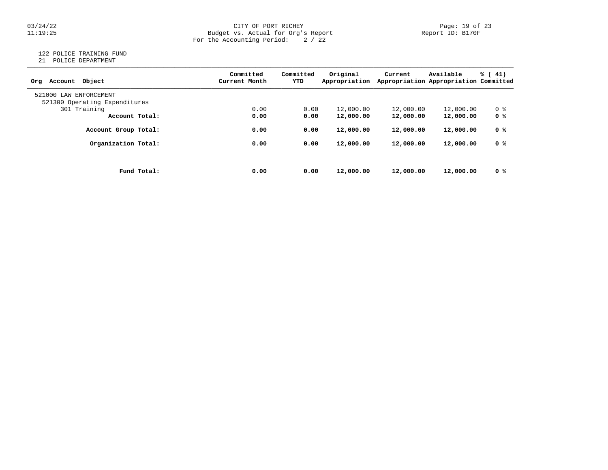# Page: 19 of 23 CITY OF PORT RICHEY<br>11:19:25 Budget vs. Actual for Org's Report Page: 19 Of 23 Report ID: B170F 11:19:25 Budget vs. Actual for Org's Report Report ID: B170F For the Accounting Period: 2 / 22

# 122 POLICE TRAINING FUND

21 POLICE DEPARTMENT

| Account Object<br>Org         | Committed<br>Current Month | Committed<br>YTD | Original<br>Appropriation | Current   | Available<br>Appropriation Appropriation Committed | $\frac{1}{6}$ ( 41) |
|-------------------------------|----------------------------|------------------|---------------------------|-----------|----------------------------------------------------|---------------------|
| 521000 LAW ENFORCEMENT        |                            |                  |                           |           |                                                    |                     |
| 521300 Operating Expenditures |                            |                  |                           |           |                                                    |                     |
| 301 Training                  | 0.00                       | 0.00             | 12,000.00                 | 12,000.00 | 12,000.00                                          | 0 %                 |
| Account Total:                | 0.00                       | 0.00             | 12,000.00                 | 12,000.00 | 12,000.00                                          | 0 <sup>8</sup>      |
| Account Group Total:          | 0.00                       | 0.00             | 12,000.00                 | 12,000.00 | 12,000.00                                          | 0 %                 |
| Organization Total:           | 0.00                       | 0.00             | 12,000.00                 | 12,000.00 | 12,000.00                                          | 0 %                 |
|                               |                            |                  |                           |           |                                                    |                     |
| Fund Total:                   | 0.00                       | 0.00             | 12,000.00                 | 12,000.00 | 12,000.00                                          | 0 %                 |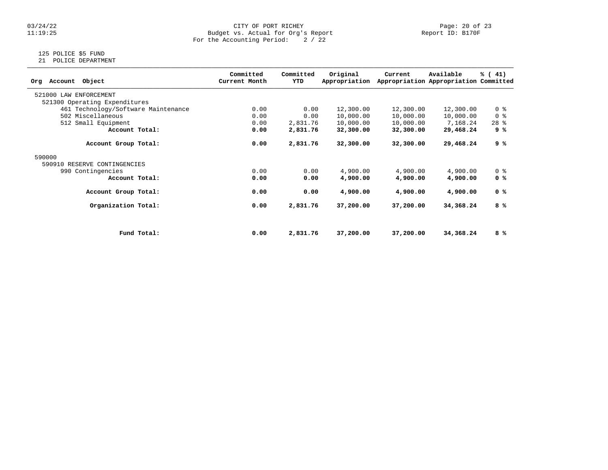# 03/24/22 CITY OF PORT RICHEY Page: 20 of 23 11:19:25 Budget vs. Actual for Org's Report Report ID: B170F For the Accounting Period: 2 / 22

# 125 POLICE \$5 FUND

21 POLICE DEPARTMENT

| Object<br>Account<br>Org            | Committed<br>Current Month | Committed<br>YTD | Original<br>Appropriation | Current   | Available<br>Appropriation Appropriation Committed | % (41)         |
|-------------------------------------|----------------------------|------------------|---------------------------|-----------|----------------------------------------------------|----------------|
| 521000 LAW ENFORCEMENT              |                            |                  |                           |           |                                                    |                |
| 521300 Operating Expenditures       |                            |                  |                           |           |                                                    |                |
| 461 Technology/Software Maintenance | 0.00                       | 0.00             | 12,300.00                 | 12,300.00 | 12,300.00                                          | 0 <sub>8</sub> |
| 502 Miscellaneous                   | 0.00                       | 0.00             | 10,000.00                 | 10,000.00 | 10,000.00                                          | 0 <sup>8</sup> |
| 512 Small Equipment                 | 0.00                       | 2,831.76         | 10,000.00                 | 10,000.00 | 7,168.24                                           | $28$ %         |
| Account Total:                      | 0.00                       | 2,831.76         | 32,300.00                 | 32,300.00 | 29,468.24                                          | 9 %            |
| Account Group Total:                | 0.00                       | 2,831.76         | 32,300.00                 | 32,300.00 | 29,468.24                                          | 9 %            |
| 590000                              |                            |                  |                           |           |                                                    |                |
| 590910 RESERVE CONTINGENCIES        |                            |                  |                           |           |                                                    |                |
| 990 Contingencies                   | 0.00                       | 0.00             | 4,900.00                  | 4,900.00  | 4,900.00                                           | 0 <sup>8</sup> |
| Account Total:                      | 0.00                       | 0.00             | 4,900.00                  | 4,900.00  | 4,900.00                                           | 0 %            |
| Account Group Total:                | 0.00                       | 0.00             | 4,900.00                  | 4,900.00  | 4,900.00                                           | 0 %            |
| Organization Total:                 | 0.00                       | 2,831.76         | 37,200.00                 | 37,200.00 | 34,368.24                                          | 8 %            |
|                                     |                            |                  |                           |           |                                                    |                |
| Fund Total:                         | 0.00                       | 2,831.76         | 37,200.00                 | 37,200.00 | 34,368.24                                          | 8 %            |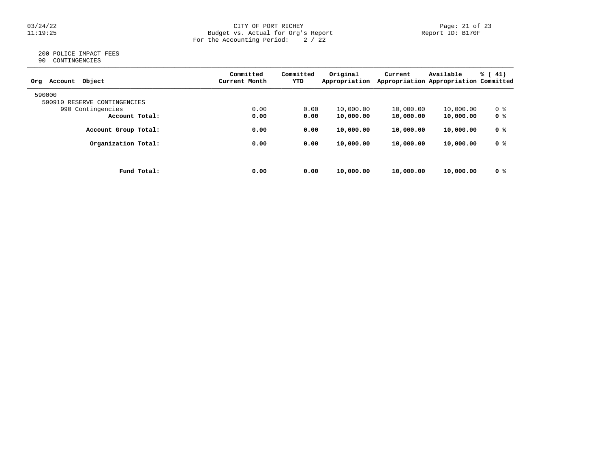# $03/24/22$  Page: 21 of 23<br>Budget vs. Actual for Org's Report Page: 21 of 23<br>Report ID: B170F 11:19:25 Budget vs. Actual for Org's Report Report ID: B170F For the Accounting Period: 2 / 22

#### 200 POLICE IMPACT FEES 90 CONTINGENCIES

| ╯ | COMITONOTICIO |  |
|---|---------------|--|
|   |               |  |
|   |               |  |

| Object<br>Account<br>Org        | Committed<br>Current Month | Committed<br>YTD | Original<br>Appropriation | Current   | Available<br>Appropriation Appropriation Committed | $\frac{1}{6}$ ( 41) |
|---------------------------------|----------------------------|------------------|---------------------------|-----------|----------------------------------------------------|---------------------|
| 590000                          |                            |                  |                           |           |                                                    |                     |
| 590910<br>RESERVE CONTINGENCIES |                            |                  |                           |           |                                                    |                     |
| 990 Contingencies               | 0.00                       | 0.00             | 10,000.00                 | 10,000.00 | 10,000.00                                          | 0 %                 |
| Account Total:                  | 0.00                       | 0.00             | 10,000.00                 | 10,000.00 | 10,000.00                                          | 0 <sup>8</sup>      |
| Account Group Total:            | 0.00                       | 0.00             | 10,000.00                 | 10,000.00 | 10,000.00                                          | 0 %                 |
| Organization Total:             | 0.00                       | 0.00             | 10,000.00                 | 10,000.00 | 10,000.00                                          | 0 %                 |
|                                 |                            |                  |                           |           |                                                    |                     |
| Fund Total:                     | 0.00                       | 0.00             | 10,000.00                 | 10,000.00 | 10,000.00                                          | 0 <sup>8</sup>      |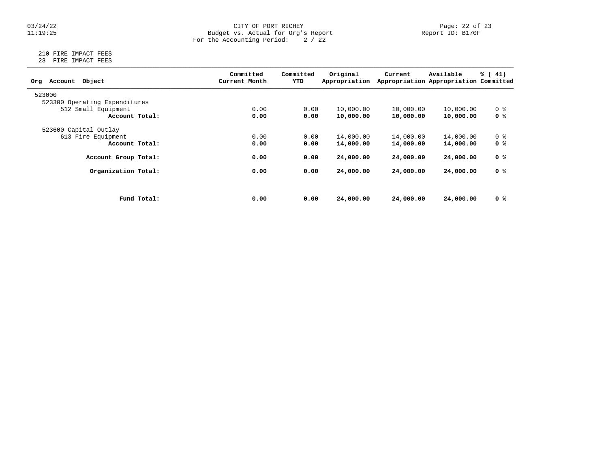# 03/24/22 CITY OF PORT RICHEY Page: 22 of 23 11:19:25 Budget vs. Actual for Org's Report Report ID: B170F For the Accounting Period: 2 / 22

# 210 FIRE IMPACT FEES 23 FIRE IMPACT FEES

| Object<br>Account<br>Org      |             | Committed<br>Current Month | Committed<br>YTD | Original<br>Appropriation | Current   | Available<br>Appropriation Appropriation Committed | $\frac{1}{6}$ ( 41) |
|-------------------------------|-------------|----------------------------|------------------|---------------------------|-----------|----------------------------------------------------|---------------------|
| 523000                        |             |                            |                  |                           |           |                                                    |                     |
| 523300 Operating Expenditures |             |                            |                  |                           |           |                                                    |                     |
| 512 Small Equipment           |             | 0.00                       | 0.00             | 10,000.00                 | 10,000.00 | 10,000.00                                          | 0 <sup>8</sup>      |
| Account Total:                |             | 0.00                       | 0.00             | 10,000.00                 | 10,000.00 | 10,000.00                                          | 0 <sup>8</sup>      |
| 523600 Capital Outlay         |             |                            |                  |                           |           |                                                    |                     |
| 613 Fire Equipment            |             | 0.00                       | 0.00             | 14,000.00                 | 14,000.00 | 14,000.00                                          | 0 <sup>8</sup>      |
| Account Total:                |             | 0.00                       | 0.00             | 14,000.00                 | 14,000.00 | 14,000.00                                          | 0 %                 |
| Account Group Total:          |             | 0.00                       | 0.00             | 24,000.00                 | 24,000,00 | 24,000.00                                          | 0 %                 |
| Organization Total:           |             | 0.00                       | 0.00             | 24,000.00                 | 24,000,00 | 24,000.00                                          | 0 %                 |
|                               |             |                            |                  |                           |           |                                                    |                     |
|                               | Fund Total: | 0.00                       | 0.00             | 24,000.00                 | 24,000.00 | 24,000.00                                          | 0 %                 |
|                               |             |                            |                  |                           |           |                                                    |                     |